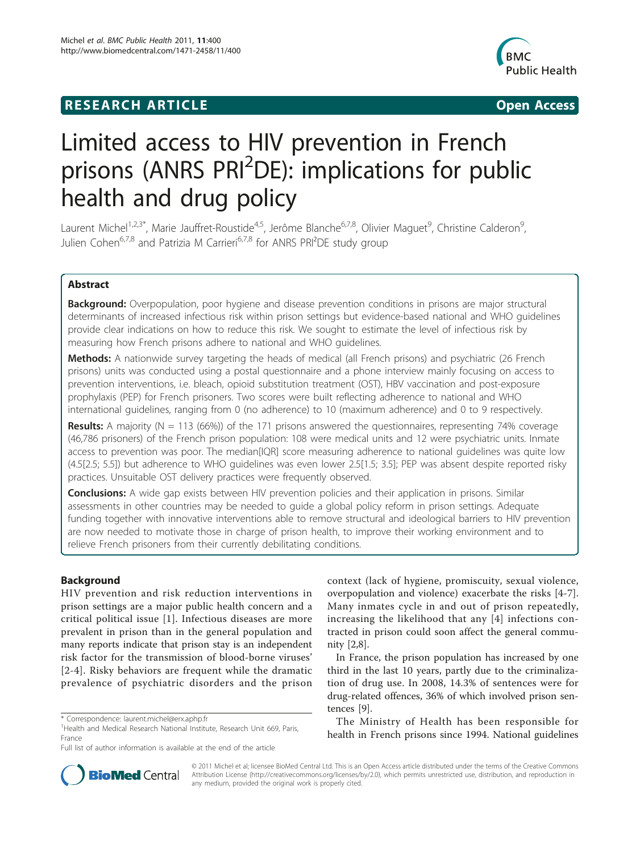# **RESEARCH ARTICLE Example 2018 12:30 THE Open Access**



# Limited access to HIV prevention in French prisons (ANRS PRI<sup>2</sup>DE): implications for public health and drug policy

Laurent Michel<sup>1,2,3\*</sup>, Marie Jauffret-Roustide<sup>4,5</sup>, Jerôme Blanche<sup>6,7,8</sup>, Olivier Maguet<sup>9</sup>, Christine Calderon<sup>9</sup> , Julien Cohen<sup>6,7,8</sup> and Patrizia M Carrieri<sup>6,7,8</sup> for ANRS PRI<sup>2</sup>DE study group

# Abstract

**Background:** Overpopulation, poor hygiene and disease prevention conditions in prisons are major structural determinants of increased infectious risk within prison settings but evidence-based national and WHO guidelines provide clear indications on how to reduce this risk. We sought to estimate the level of infectious risk by measuring how French prisons adhere to national and WHO guidelines.

Methods: A nationwide survey targeting the heads of medical (all French prisons) and psychiatric (26 French prisons) units was conducted using a postal questionnaire and a phone interview mainly focusing on access to prevention interventions, i.e. bleach, opioid substitution treatment (OST), HBV vaccination and post-exposure prophylaxis (PEP) for French prisoners. Two scores were built reflecting adherence to national and WHO international guidelines, ranging from 0 (no adherence) to 10 (maximum adherence) and 0 to 9 respectively.

**Results:** A majority (N = 113 (66%)) of the 171 prisons answered the questionnaires, representing 74% coverage (46,786 prisoners) of the French prison population: 108 were medical units and 12 were psychiatric units. Inmate access to prevention was poor. The median[IQR] score measuring adherence to national guidelines was quite low (4.5[2.5; 5.5]) but adherence to WHO guidelines was even lower 2.5[1.5; 3.5]; PEP was absent despite reported risky practices. Unsuitable OST delivery practices were frequently observed.

**Conclusions:** A wide gap exists between HIV prevention policies and their application in prisons. Similar assessments in other countries may be needed to guide a global policy reform in prison settings. Adequate funding together with innovative interventions able to remove structural and ideological barriers to HIV prevention are now needed to motivate those in charge of prison health, to improve their working environment and to relieve French prisoners from their currently debilitating conditions.

# Background

HIV prevention and risk reduction interventions in prison settings are a major public health concern and a critical political issue [[1\]](#page-7-0). Infectious diseases are more prevalent in prison than in the general population and many reports indicate that prison stay is an independent risk factor for the transmission of blood-borne viruses' [[2](#page-7-0)-[4](#page-7-0)]. Risky behaviors are frequent while the dramatic prevalence of psychiatric disorders and the prison

context (lack of hygiene, promiscuity, sexual violence, overpopulation and violence) exacerbate the risks [[4-7](#page-7-0)]. Many inmates cycle in and out of prison repeatedly, increasing the likelihood that any [\[4\]](#page-7-0) infections contracted in prison could soon affect the general community [[2](#page-7-0),[8](#page-7-0)].

In France, the prison population has increased by one third in the last 10 years, partly due to the criminalization of drug use. In 2008, 14.3% of sentences were for drug-related offences, 36% of which involved prison sentences [[9](#page-7-0)].

The Ministry of Health has been responsible for health in French prisons since 1994. National guidelines



© 2011 Michel et al; licensee BioMed Central Ltd. This is an Open Access article distributed under the terms of the Creative Commons Attribution License [\(http://creativecommons.org/licenses/by/2.0](http://creativecommons.org/licenses/by/2.0)), which permits unrestricted use, distribution, and reproduction in any medium, provided the original work is properly cited.

<sup>\*</sup> Correspondence: [laurent.michel@erx.aphp.fr](mailto:laurent.michel@erx.aphp.fr)

<sup>&</sup>lt;sup>1</sup> Health and Medical Research National Institute, Research Unit 669, Paris, France

Full list of author information is available at the end of the article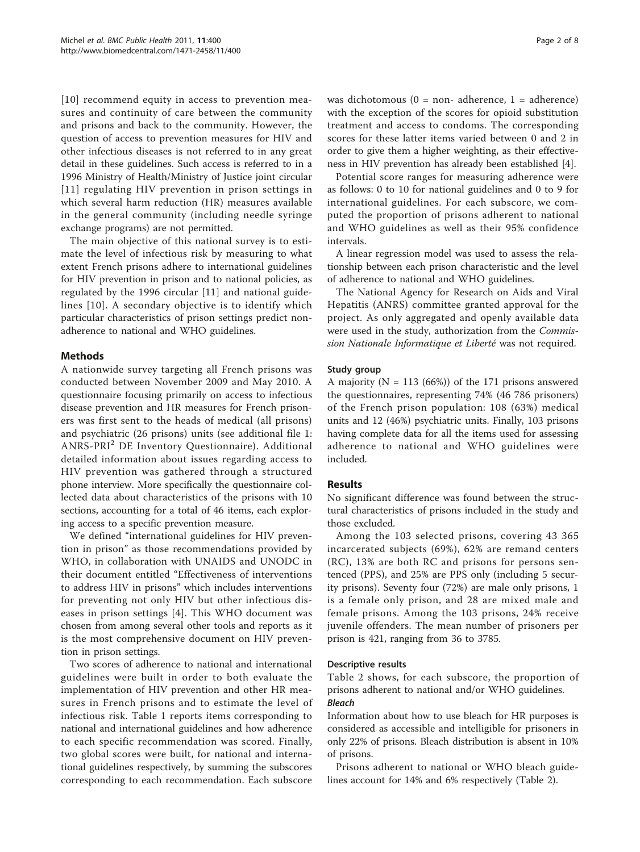[[10\]](#page-7-0) recommend equity in access to prevention measures and continuity of care between the community and prisons and back to the community. However, the question of access to prevention measures for HIV and other infectious diseases is not referred to in any great detail in these guidelines. Such access is referred to in a 1996 Ministry of Health/Ministry of Justice joint circular [[11\]](#page-7-0) regulating HIV prevention in prison settings in which several harm reduction (HR) measures available in the general community (including needle syringe exchange programs) are not permitted.

The main objective of this national survey is to estimate the level of infectious risk by measuring to what extent French prisons adhere to international guidelines for HIV prevention in prison and to national policies, as regulated by the 1996 circular [\[11](#page-7-0)] and national guidelines [[10\]](#page-7-0). A secondary objective is to identify which particular characteristics of prison settings predict nonadherence to national and WHO guidelines.

# Methods

A nationwide survey targeting all French prisons was conducted between November 2009 and May 2010. A questionnaire focusing primarily on access to infectious disease prevention and HR measures for French prisoners was first sent to the heads of medical (all prisons) and psychiatric (26 prisons) units (see additional file [1](#page-7-0): ANRS-PRI<sup>2</sup> DE Inventory Questionnaire). Additional detailed information about issues regarding access to HIV prevention was gathered through a structured phone interview. More specifically the questionnaire collected data about characteristics of the prisons with 10 sections, accounting for a total of 46 items, each exploring access to a specific prevention measure.

We defined "international guidelines for HIV prevention in prison" as those recommendations provided by WHO, in collaboration with UNAIDS and UNODC in their document entitled "Effectiveness of interventions to address HIV in prisons" which includes interventions for preventing not only HIV but other infectious diseases in prison settings [\[4](#page-7-0)]. This WHO document was chosen from among several other tools and reports as it is the most comprehensive document on HIV prevention in prison settings.

Two scores of adherence to national and international guidelines were built in order to both evaluate the implementation of HIV prevention and other HR measures in French prisons and to estimate the level of infectious risk. Table [1](#page-2-0) reports items corresponding to national and international guidelines and how adherence to each specific recommendation was scored. Finally, two global scores were built, for national and international guidelines respectively, by summing the subscores corresponding to each recommendation. Each subscore

was dichotomous  $(0 = \text{non-}$  adherence,  $1 = \text{adherence}$ ) with the exception of the scores for opioid substitution treatment and access to condoms. The corresponding scores for these latter items varied between 0 and 2 in order to give them a higher weighting, as their effectiveness in HIV prevention has already been established [\[4](#page-7-0)].

Potential score ranges for measuring adherence were as follows: 0 to 10 for national guidelines and 0 to 9 for international guidelines. For each subscore, we computed the proportion of prisons adherent to national and WHO guidelines as well as their 95% confidence intervals.

A linear regression model was used to assess the relationship between each prison characteristic and the level of adherence to national and WHO guidelines.

The National Agency for Research on Aids and Viral Hepatitis (ANRS) committee granted approval for the project. As only aggregated and openly available data were used in the study, authorization from the Commission Nationale Informatique et Liberté was not required.

### Study group

A majority ( $N = 113$  (66%)) of the 171 prisons answered the questionnaires, representing 74% (46 786 prisoners) of the French prison population: 108 (63%) medical units and 12 (46%) psychiatric units. Finally, 103 prisons having complete data for all the items used for assessing adherence to national and WHO guidelines were included.

# Results

No significant difference was found between the structural characteristics of prisons included in the study and those excluded.

Among the 103 selected prisons, covering 43 365 incarcerated subjects (69%), 62% are remand centers (RC), 13% are both RC and prisons for persons sentenced (PPS), and 25% are PPS only (including 5 security prisons). Seventy four (72%) are male only prisons, 1 is a female only prison, and 28 are mixed male and female prisons. Among the 103 prisons, 24% receive juvenile offenders. The mean number of prisoners per prison is 421, ranging from 36 to 3785.

#### Descriptive results

Table [2](#page-3-0) shows, for each subscore, the proportion of prisons adherent to national and/or WHO guidelines. Bleach

Information about how to use bleach for HR purposes is considered as accessible and intelligible for prisoners in only 22% of prisons. Bleach distribution is absent in 10% of prisons.

Prisons adherent to national or WHO bleach guidelines account for 14% and 6% respectively (Table [2](#page-3-0)).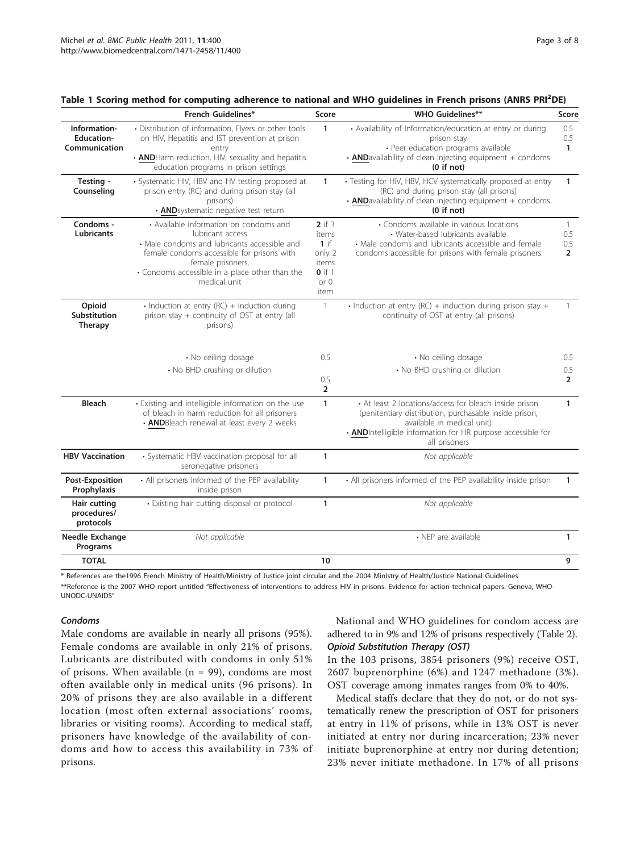|                                                    | French Guidelines*                                                                                                                                                                                                                              | Score                                                                        | <b>WHO Guidelines**</b>                                                                                                                                                                                                        | Score                                        |
|----------------------------------------------------|-------------------------------------------------------------------------------------------------------------------------------------------------------------------------------------------------------------------------------------------------|------------------------------------------------------------------------------|--------------------------------------------------------------------------------------------------------------------------------------------------------------------------------------------------------------------------------|----------------------------------------------|
| Information-<br><b>Education-</b><br>Communication | · Distribution of information, Flyers or other tools<br>on HIV, Hepatitis and IST prevention at prison<br>entry<br>• ANDHarm reduction, HIV, sexuality and hepatitis<br>education programs in prison settings                                   | $\mathbf{1}$                                                                 | • Availability of Information/education at entry or during<br>prison stay<br>· Peer education programs available<br>• ANDavailability of clean injecting equipment + condoms<br>(0 if not)                                     | 0.5<br>0.5<br>$\mathbf{1}$                   |
| Testing -<br>Counseling                            | • Systematic HIV, HBV and HV testing proposed at<br>prison entry (RC) and during prison stay (all<br>prisons)<br>• ANDsystematic negative test return                                                                                           | $\mathbf{1}$                                                                 | · Testing for HIV, HBV, HCV systematically proposed at entry<br>(RC) and during prison stay (all prisons)<br>• ANDavailability of clean injecting equipment + condoms<br>(0 if not)                                            | $\mathbf{1}$                                 |
| Condoms -<br>Lubricants                            | • Available information on condoms and<br>lubricant access<br>• Male condoms and lubricants accessible and<br>female condoms accessible for prisons with<br>female prisoners,<br>• Condoms accessible in a place other than the<br>medical unit | $2$ if $3$<br>items<br>$1$ if<br>only 2<br>items<br>$0$ if 1<br>or 0<br>item | • Condoms available in various locations<br>• Water-based lubricants available<br>• Male condoms and lubricants accessible and female<br>condoms accessible for prisons with female prisoners                                  | $\mathbf{1}$<br>0.5<br>0.5<br>$\overline{2}$ |
| Opioid<br>Substitution<br><b>Therapy</b>           | $\cdot$ Induction at entry (RC) + induction during<br>prison stay + continuity of OST at entry (all<br>prisons)                                                                                                                                 | $\mathbf{1}$                                                                 | • Induction at entry (RC) + induction during prison stay +<br>continuity of OST at entry (all prisons)                                                                                                                         |                                              |
|                                                    | • No ceiling dosage                                                                                                                                                                                                                             | 0.5                                                                          | • No ceiling dosage                                                                                                                                                                                                            | 0.5                                          |
|                                                    | • No BHD crushing or dilution                                                                                                                                                                                                                   | 0.5<br>$\overline{2}$                                                        | • No BHD crushing or dilution                                                                                                                                                                                                  | 0.5<br>$\overline{2}$                        |
| <b>Bleach</b>                                      | • Existing and intelligible information on the use<br>of bleach in harm reduction for all prisoners<br>• ANDBleach renewal at least every 2 weeks                                                                                               | 1                                                                            | • At least 2 locations/access for bleach inside prison<br>(penitentiary distribution, purchasable inside prison,<br>available in medical unit)<br>. ANDIntelligible information for HR purpose accessible for<br>all prisoners | $\mathbf{1}$                                 |
| <b>HBV Vaccination</b>                             | • Systematic HBV vaccination proposal for all<br>seronegative prisoners                                                                                                                                                                         | 1                                                                            | Not applicable                                                                                                                                                                                                                 |                                              |
| <b>Post-Exposition</b><br>Prophylaxis              | • All prisoners informed of the PEP availability<br>inside prison                                                                                                                                                                               | $\mathbf{1}$                                                                 | • All prisoners informed of the PEP availability inside prison                                                                                                                                                                 | 1                                            |
| Hair cutting<br>procedures/<br>protocols           | · Existing hair cutting disposal or protocol                                                                                                                                                                                                    | 1                                                                            | Not applicable                                                                                                                                                                                                                 |                                              |
| Needle Exchange<br>Programs                        | Not applicable                                                                                                                                                                                                                                  |                                                                              | • NEP are available                                                                                                                                                                                                            | $\mathbf{1}$                                 |
| <b>TOTAL</b>                                       |                                                                                                                                                                                                                                                 | 10                                                                           |                                                                                                                                                                                                                                | 9                                            |

# <span id="page-2-0"></span>Table 1 Scoring method for computing adherence to national and WHO guidelines in French prisons (ANRS PRI<sup>2</sup>DE)

\* References are the1996 French Ministry of Health/Ministry of Justice joint circular and the 2004 Ministry of Health/Justice National Guidelines \*\*Reference is the 2007 WHO report untitled "Effectiveness of interventions to address HIV in prisons. Evidence for action technical papers. Geneva, WHO-UNODC-UNAIDS"

#### Condoms

Male condoms are available in nearly all prisons (95%). Female condoms are available in only 21% of prisons. Lubricants are distributed with condoms in only 51% of prisons. When available  $(n = 99)$ , condoms are most often available only in medical units (96 prisons). In 20% of prisons they are also available in a different location (most often external associations' rooms, libraries or visiting rooms). According to medical staff, prisoners have knowledge of the availability of condoms and how to access this availability in 73% of prisons.

National and WHO guidelines for condom access are adhered to in 9% and 12% of prisons respectively (Table [2](#page-3-0)). Opioid Substitution Therapy (OST)

In the 103 prisons, 3854 prisoners (9%) receive OST, 2607 buprenorphine (6%) and 1247 methadone (3%). OST coverage among inmates ranges from 0% to 40%.

Medical staffs declare that they do not, or do not systematically renew the prescription of OST for prisoners at entry in 11% of prisons, while in 13% OST is never initiated at entry nor during incarceration; 23% never initiate buprenorphine at entry nor during detention; 23% never initiate methadone. In 17% of all prisons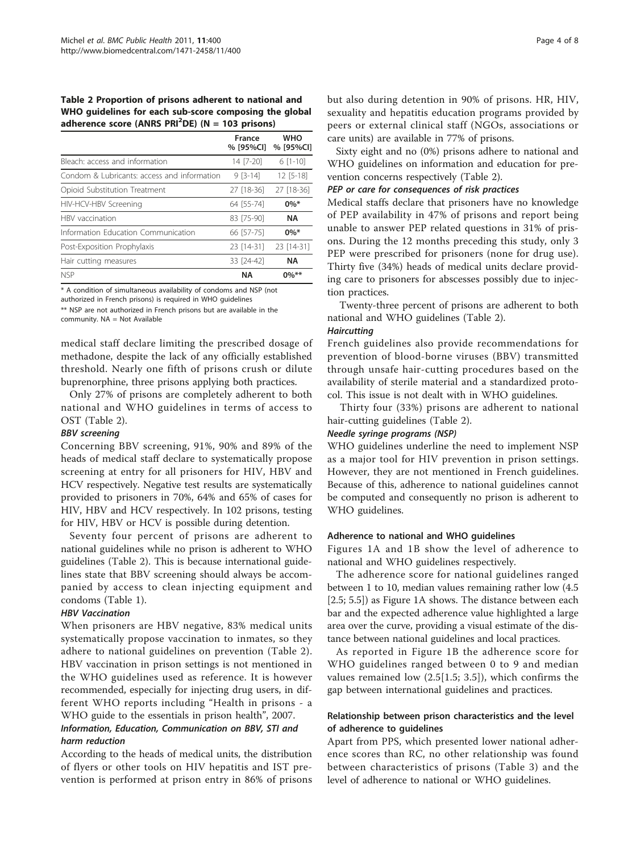<span id="page-3-0"></span>Table 2 Proportion of prisons adherent to national and WHO guidelines for each sub-score composing the global adherence score (ANRS PRI<sup>2</sup>DE) (N = 103 prisons)

|                                             | France<br>% [95%Cl] | <b>WHO</b><br>% [95%CI] |
|---------------------------------------------|---------------------|-------------------------|
| Bleach: access and information              | 14 [7-20]           | $6$ [1-10]              |
| Condom & Lubricants: access and information | $9$ [3-14]          | $12$ [5-18]             |
| Opioid Substitution Treatment               | 27 [18-36]          | 27 [18-36]              |
| HIV-HCV-HBV Screening                       | 64 [55-74]          | $0\%*$                  |
| HBV vaccination                             | 83 [75-90]          | <b>NA</b>               |
| Information Education Communication         | 66 [57-75]          | $0\%*$                  |
| Post-Exposition Prophylaxis                 | 23 [14-31]          | 23 [14-31]              |
| Hair cutting measures                       | 33 [24-42]          | <b>NA</b>               |
| <b>NSP</b>                                  | <b>NA</b>           | $0\%***$                |

\* A condition of simultaneous availability of condoms and NSP (not authorized in French prisons) is required in WHO guidelines

\*\* NSP are not authorized in French prisons but are available in the community. NA = Not Available

medical staff declare limiting the prescribed dosage of methadone, despite the lack of any officially established threshold. Nearly one fifth of prisons crush or dilute buprenorphine, three prisons applying both practices.

Only 27% of prisons are completely adherent to both national and WHO guidelines in terms of access to OST (Table 2).

#### BBV screening

Concerning BBV screening, 91%, 90% and 89% of the heads of medical staff declare to systematically propose screening at entry for all prisoners for HIV, HBV and HCV respectively. Negative test results are systematically provided to prisoners in 70%, 64% and 65% of cases for HIV, HBV and HCV respectively. In 102 prisons, testing for HIV, HBV or HCV is possible during detention.

Seventy four percent of prisons are adherent to national guidelines while no prison is adherent to WHO guidelines (Table 2). This is because international guidelines state that BBV screening should always be accompanied by access to clean injecting equipment and condoms (Table [1](#page-2-0)).

#### HBV Vaccination

When prisoners are HBV negative, 83% medical units systematically propose vaccination to inmates, so they adhere to national guidelines on prevention (Table 2). HBV vaccination in prison settings is not mentioned in the WHO guidelines used as reference. It is however recommended, especially for injecting drug users, in different WHO reports including "Health in prisons - a WHO guide to the essentials in prison health", 2007. Information, Education, Communication on BBV, STI and harm reduction

According to the heads of medical units, the distribution of flyers or other tools on HIV hepatitis and IST prevention is performed at prison entry in 86% of prisons but also during detention in 90% of prisons. HR, HIV, sexuality and hepatitis education programs provided by peers or external clinical staff (NGOs, associations or care units) are available in 77% of prisons.

Sixty eight and no (0%) prisons adhere to national and WHO guidelines on information and education for prevention concerns respectively (Table 2).

#### PEP or care for consequences of risk practices

Medical staffs declare that prisoners have no knowledge of PEP availability in 47% of prisons and report being unable to answer PEP related questions in 31% of prisons. During the 12 months preceding this study, only 3 PEP were prescribed for prisoners (none for drug use). Thirty five (34%) heads of medical units declare providing care to prisoners for abscesses possibly due to injection practices.

Twenty-three percent of prisons are adherent to both national and WHO guidelines (Table 2).

#### **Haircutting**

French guidelines also provide recommendations for prevention of blood-borne viruses (BBV) transmitted through unsafe hair-cutting procedures based on the availability of sterile material and a standardized protocol. This issue is not dealt with in WHO guidelines.

Thirty four (33%) prisons are adherent to national hair-cutting guidelines (Table 2).

#### Needle syringe programs (NSP)

WHO guidelines underline the need to implement NSP as a major tool for HIV prevention in prison settings. However, they are not mentioned in French guidelines. Because of this, adherence to national guidelines cannot be computed and consequently no prison is adherent to WHO guidelines.

#### Adherence to national and WHO guidelines

Figures [1A](#page-4-0) and [1B](#page-4-0) show the level of adherence to national and WHO guidelines respectively.

The adherence score for national guidelines ranged between 1 to 10, median values remaining rather low (4.5 [2.5; 5.5]) as Figure [1A](#page-4-0) shows. The distance between each bar and the expected adherence value highlighted a large area over the curve, providing a visual estimate of the distance between national guidelines and local practices.

As reported in Figure [1B](#page-4-0) the adherence score for WHO guidelines ranged between 0 to 9 and median values remained low (2.5[1.5; 3.5]), which confirms the gap between international guidelines and practices.

# Relationship between prison characteristics and the level of adherence to guidelines

Apart from PPS, which presented lower national adherence scores than RC, no other relationship was found between characteristics of prisons (Table [3\)](#page-5-0) and the level of adherence to national or WHO guidelines.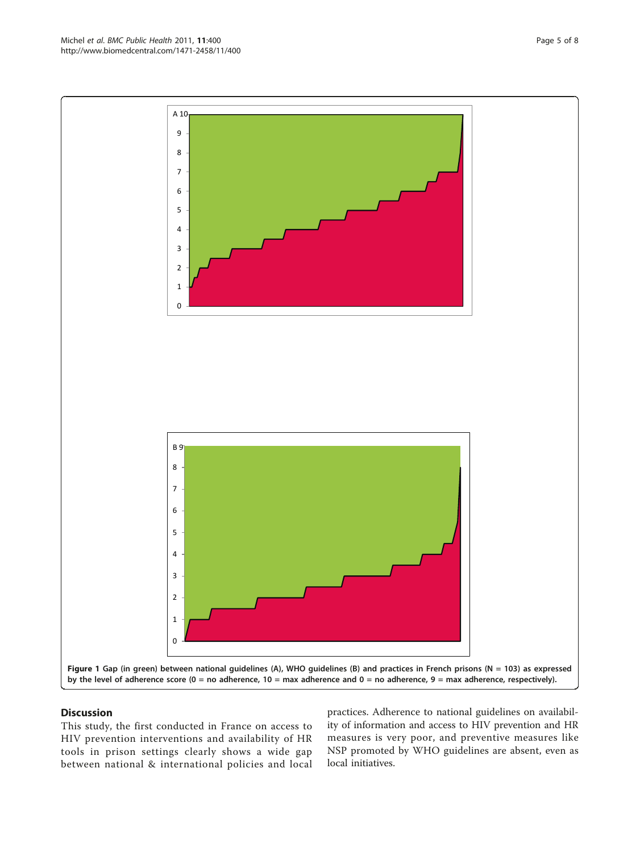This study, the first conducted in France on access to HIV prevention interventions and availability of HR tools in prison settings clearly shows a wide gap between national & international policies and local

Discussion

practices. Adherence to national guidelines on availability of information and access to HIV prevention and HR measures is very poor, and preventive measures like NSP promoted by WHO guidelines are absent, even as local initiatives.

<span id="page-4-0"></span>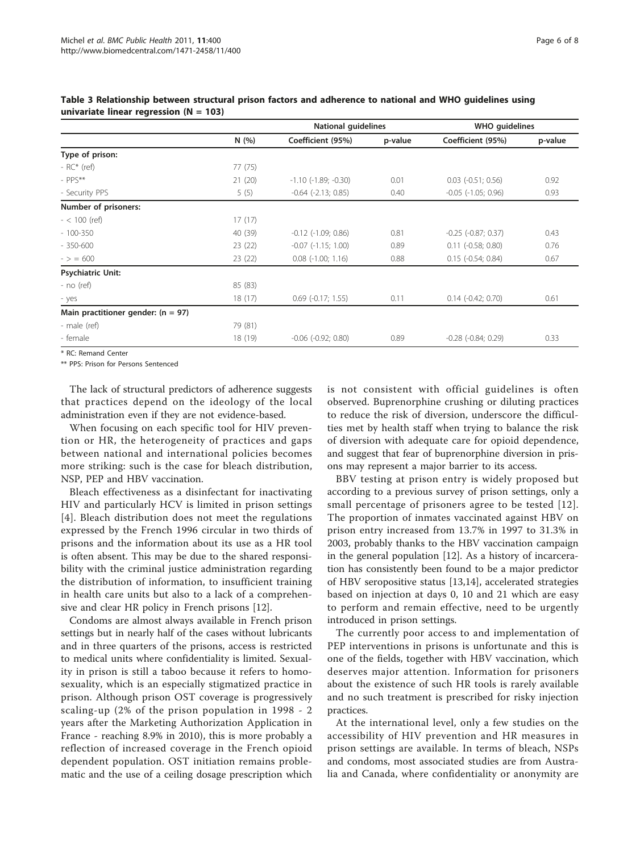|                                      |         | <b>National guidelines</b> |         | <b>WHO</b> guidelines       |         |
|--------------------------------------|---------|----------------------------|---------|-----------------------------|---------|
|                                      | N(%)    | Coefficient (95%)          | p-value | Coefficient (95%)           | p-value |
| Type of prison:                      |         |                            |         |                             |         |
| - $RC^*$ (ref)                       | 77 (75) |                            |         |                             |         |
| $-$ PPS**                            | 21(20)  | $-1.10$ $(-1.89; -0.30)$   | 0.01    | $0.03$ ( $-0.51$ ; $0.56$ ) | 0.92    |
| - Security PPS                       | 5(5)    | $-0.64$ $(-2.13; 0.85)$    | 0.40    | $-0.05$ $(-1.05; 0.96)$     | 0.93    |
| Number of prisoners:                 |         |                            |         |                             |         |
| $- < 100$ (ref)                      | 17(17)  |                            |         |                             |         |
| $-100 - 350$                         | 40 (39) | $-0.12$ $(-1.09; 0.86)$    | 0.81    | $-0.25$ $(-0.87; 0.37)$     | 0.43    |
| $-350 - 600$                         | 23(22)  | $-0.07$ $(-1.15; 1.00)$    | 0.89    | $0.11$ ( $-0.58$ ; $0.80$ ) | 0.76    |
| $- > 600$                            | 23(22)  | $0.08$ ( $-1.00; 1.16$ )   | 0.88    | $0.15$ ( $-0.54$ ; $0.84$ ) | 0.67    |
| <b>Psychiatric Unit:</b>             |         |                            |         |                             |         |
| - no (ref)                           | 85 (83) |                            |         |                             |         |
| - yes                                | 18(17)  | $0.69$ ( $-0.17$ ; 1.55)   | 0.11    | $0.14$ $(-0.42; 0.70)$      | 0.61    |
| Main practitioner gender: $(n = 97)$ |         |                            |         |                             |         |
| - male (ref)                         | 79 (81) |                            |         |                             |         |
| - female                             | 18 (19) | $-0.06$ $(-0.92; 0.80)$    | 0.89    | $-0.28$ $(-0.84; 0.29)$     | 0.33    |
|                                      |         |                            |         |                             |         |

<span id="page-5-0"></span>Table 3 Relationship between structural prison factors and adherence to national and WHO guidelines using univariate linear regression ( $N = 103$ )

\* RC: Remand Center

\*\* PPS: Prison for Persons Sentenced

The lack of structural predictors of adherence suggests that practices depend on the ideology of the local administration even if they are not evidence-based.

When focusing on each specific tool for HIV prevention or HR, the heterogeneity of practices and gaps between national and international policies becomes more striking: such is the case for bleach distribution, NSP, PEP and HBV vaccination.

Bleach effectiveness as a disinfectant for inactivating HIV and particularly HCV is limited in prison settings [[4](#page-7-0)]. Bleach distribution does not meet the regulations expressed by the French 1996 circular in two thirds of prisons and the information about its use as a HR tool is often absent. This may be due to the shared responsibility with the criminal justice administration regarding the distribution of information, to insufficient training in health care units but also to a lack of a comprehensive and clear HR policy in French prisons [\[12](#page-7-0)].

Condoms are almost always available in French prison settings but in nearly half of the cases without lubricants and in three quarters of the prisons, access is restricted to medical units where confidentiality is limited. Sexuality in prison is still a taboo because it refers to homosexuality, which is an especially stigmatized practice in prison. Although prison OST coverage is progressively scaling-up (2% of the prison population in 1998 - 2 years after the Marketing Authorization Application in France - reaching 8.9% in 2010), this is more probably a reflection of increased coverage in the French opioid dependent population. OST initiation remains problematic and the use of a ceiling dosage prescription which is not consistent with official guidelines is often observed. Buprenorphine crushing or diluting practices to reduce the risk of diversion, underscore the difficulties met by health staff when trying to balance the risk of diversion with adequate care for opioid dependence, and suggest that fear of buprenorphine diversion in prisons may represent a major barrier to its access.

BBV testing at prison entry is widely proposed but according to a previous survey of prison settings, only a small percentage of prisoners agree to be tested [[12\]](#page-7-0). The proportion of inmates vaccinated against HBV on prison entry increased from 13.7% in 1997 to 31.3% in 2003, probably thanks to the HBV vaccination campaign in the general population [\[12](#page-7-0)]. As a history of incarceration has consistently been found to be a major predictor of HBV seropositive status [\[13,14\]](#page-7-0), accelerated strategies based on injection at days 0, 10 and 21 which are easy to perform and remain effective, need to be urgently introduced in prison settings.

The currently poor access to and implementation of PEP interventions in prisons is unfortunate and this is one of the fields, together with HBV vaccination, which deserves major attention. Information for prisoners about the existence of such HR tools is rarely available and no such treatment is prescribed for risky injection practices.

At the international level, only a few studies on the accessibility of HIV prevention and HR measures in prison settings are available. In terms of bleach, NSPs and condoms, most associated studies are from Australia and Canada, where confidentiality or anonymity are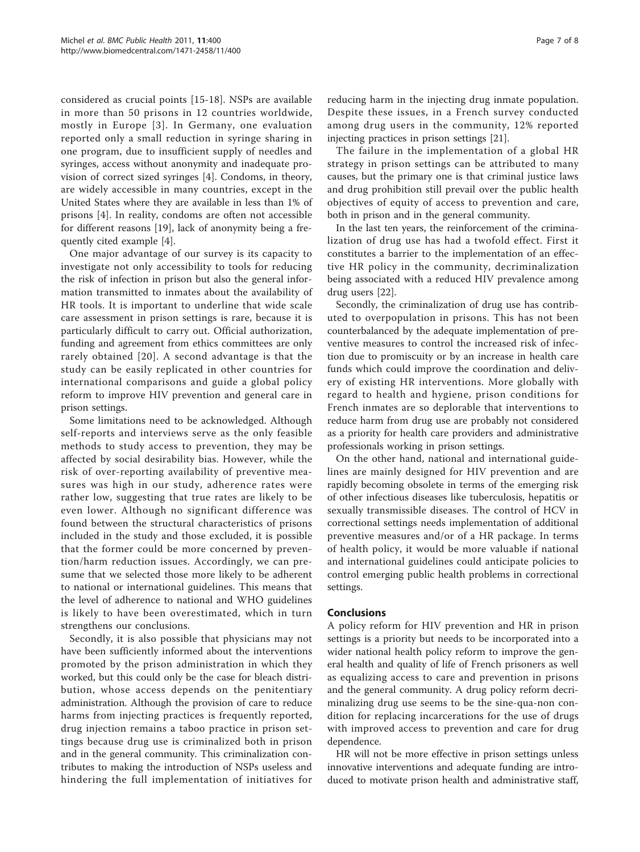considered as crucial points [[15-18](#page-7-0)]. NSPs are available in more than 50 prisons in 12 countries worldwide, mostly in Europe [[3](#page-7-0)]. In Germany, one evaluation reported only a small reduction in syringe sharing in one program, due to insufficient supply of needles and syringes, access without anonymity and inadequate provision of correct sized syringes [[4\]](#page-7-0). Condoms, in theory, are widely accessible in many countries, except in the United States where they are available in less than 1% of prisons [\[4](#page-7-0)]. In reality, condoms are often not accessible for different reasons [[19\]](#page-7-0), lack of anonymity being a frequently cited example [\[4](#page-7-0)].

One major advantage of our survey is its capacity to investigate not only accessibility to tools for reducing the risk of infection in prison but also the general information transmitted to inmates about the availability of HR tools. It is important to underline that wide scale care assessment in prison settings is rare, because it is particularly difficult to carry out. Official authorization, funding and agreement from ethics committees are only rarely obtained [\[20](#page-7-0)]. A second advantage is that the study can be easily replicated in other countries for international comparisons and guide a global policy reform to improve HIV prevention and general care in prison settings.

Some limitations need to be acknowledged. Although self-reports and interviews serve as the only feasible methods to study access to prevention, they may be affected by social desirability bias. However, while the risk of over-reporting availability of preventive measures was high in our study, adherence rates were rather low, suggesting that true rates are likely to be even lower. Although no significant difference was found between the structural characteristics of prisons included in the study and those excluded, it is possible that the former could be more concerned by prevention/harm reduction issues. Accordingly, we can presume that we selected those more likely to be adherent to national or international guidelines. This means that the level of adherence to national and WHO guidelines is likely to have been overestimated, which in turn strengthens our conclusions.

Secondly, it is also possible that physicians may not have been sufficiently informed about the interventions promoted by the prison administration in which they worked, but this could only be the case for bleach distribution, whose access depends on the penitentiary administration. Although the provision of care to reduce harms from injecting practices is frequently reported, drug injection remains a taboo practice in prison settings because drug use is criminalized both in prison and in the general community. This criminalization contributes to making the introduction of NSPs useless and hindering the full implementation of initiatives for

reducing harm in the injecting drug inmate population. Despite these issues, in a French survey conducted among drug users in the community, 12% reported injecting practices in prison settings [\[21\]](#page-7-0).

The failure in the implementation of a global HR strategy in prison settings can be attributed to many causes, but the primary one is that criminal justice laws and drug prohibition still prevail over the public health objectives of equity of access to prevention and care, both in prison and in the general community.

In the last ten years, the reinforcement of the criminalization of drug use has had a twofold effect. First it constitutes a barrier to the implementation of an effective HR policy in the community, decriminalization being associated with a reduced HIV prevalence among drug users [\[22\]](#page-7-0).

Secondly, the criminalization of drug use has contributed to overpopulation in prisons. This has not been counterbalanced by the adequate implementation of preventive measures to control the increased risk of infection due to promiscuity or by an increase in health care funds which could improve the coordination and delivery of existing HR interventions. More globally with regard to health and hygiene, prison conditions for French inmates are so deplorable that interventions to reduce harm from drug use are probably not considered as a priority for health care providers and administrative professionals working in prison settings.

On the other hand, national and international guidelines are mainly designed for HIV prevention and are rapidly becoming obsolete in terms of the emerging risk of other infectious diseases like tuberculosis, hepatitis or sexually transmissible diseases. The control of HCV in correctional settings needs implementation of additional preventive measures and/or of a HR package. In terms of health policy, it would be more valuable if national and international guidelines could anticipate policies to control emerging public health problems in correctional settings.

#### Conclusions

A policy reform for HIV prevention and HR in prison settings is a priority but needs to be incorporated into a wider national health policy reform to improve the general health and quality of life of French prisoners as well as equalizing access to care and prevention in prisons and the general community. A drug policy reform decriminalizing drug use seems to be the sine-qua-non condition for replacing incarcerations for the use of drugs with improved access to prevention and care for drug dependence.

HR will not be more effective in prison settings unless innovative interventions and adequate funding are introduced to motivate prison health and administrative staff,